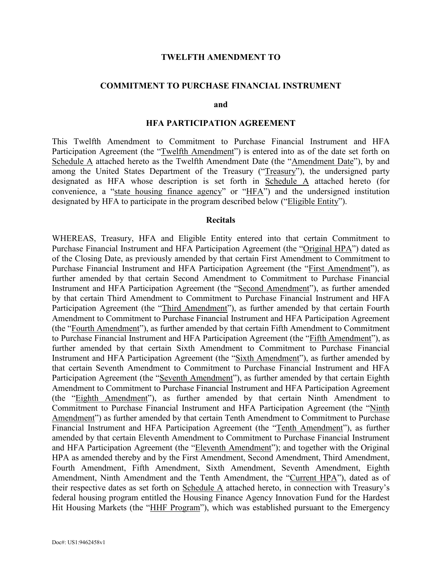#### **TWELFTH AMENDMENT TO**

#### **COMMITMENT TO PURCHASE FINANCIAL INSTRUMENT**

**and**

#### **HFA PARTICIPATION AGREEMENT**

This Twelfth Amendment to Commitment to Purchase Financial Instrument and HFA Participation Agreement (the "Twelfth Amendment") is entered into as of the date set forth on Schedule A attached hereto as the Twelfth Amendment Date (the "Amendment Date"), by and among the United States Department of the Treasury ("Treasury"), the undersigned party designated as HFA whose description is set forth in Schedule A attached hereto (for convenience, a "state housing finance agency" or "HFA") and the undersigned institution designated by HFA to participate in the program described below ("Eligible Entity").

#### **Recitals**

WHEREAS, Treasury, HFA and Eligible Entity entered into that certain Commitment to Purchase Financial Instrument and HFA Participation Agreement (the "Original HPA") dated as of the Closing Date, as previously amended by that certain First Amendment to Commitment to Purchase Financial Instrument and HFA Participation Agreement (the "First Amendment"), as further amended by that certain Second Amendment to Commitment to Purchase Financial Instrument and HFA Participation Agreement (the "Second Amendment"), as further amended by that certain Third Amendment to Commitment to Purchase Financial Instrument and HFA Participation Agreement (the "Third Amendment"), as further amended by that certain Fourth Amendment to Commitment to Purchase Financial Instrument and HFA Participation Agreement (the "Fourth Amendment"), as further amended by that certain Fifth Amendment to Commitment to Purchase Financial Instrument and HFA Participation Agreement (the "Fifth Amendment"), as further amended by that certain Sixth Amendment to Commitment to Purchase Financial Instrument and HFA Participation Agreement (the "Sixth Amendment"), as further amended by that certain Seventh Amendment to Commitment to Purchase Financial Instrument and HFA Participation Agreement (the "Seventh Amendment"), as further amended by that certain Eighth Amendment to Commitment to Purchase Financial Instrument and HFA Participation Agreement (the "Eighth Amendment"), as further amended by that certain Ninth Amendment to Commitment to Purchase Financial Instrument and HFA Participation Agreement (the "Ninth Amendment") as further amended by that certain Tenth Amendment to Commitment to Purchase Financial Instrument and HFA Participation Agreement (the "Tenth Amendment"), as further amended by that certain Eleventh Amendment to Commitment to Purchase Financial Instrument and HFA Participation Agreement (the "Eleventh Amendment"); and together with the Original HPA as amended thereby and by the First Amendment, Second Amendment, Third Amendment, Fourth Amendment, Fifth Amendment, Sixth Amendment, Seventh Amendment, Eighth Amendment, Ninth Amendment and the Tenth Amendment, the "Current HPA"), dated as of their respective dates as set forth on Schedule A attached hereto, in connection with Treasury's federal housing program entitled the Housing Finance Agency Innovation Fund for the Hardest Hit Housing Markets (the "HHF Program"), which was established pursuant to the Emergency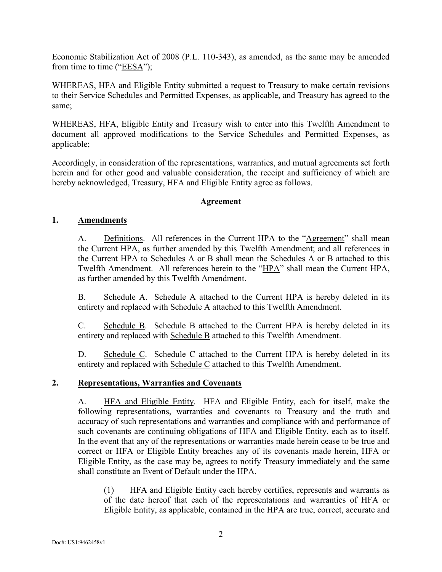Economic Stabilization Act of 2008 (P.L. 110-343), as amended, as the same may be amended from time to time (" $EESA$ ");

WHEREAS, HFA and Eligible Entity submitted a request to Treasury to make certain revisions to their Service Schedules and Permitted Expenses, as applicable, and Treasury has agreed to the same;

WHEREAS, HFA, Eligible Entity and Treasury wish to enter into this Twelfth Amendment to document all approved modifications to the Service Schedules and Permitted Expenses, as applicable;

Accordingly, in consideration of the representations, warranties, and mutual agreements set forth herein and for other good and valuable consideration, the receipt and sufficiency of which are hereby acknowledged, Treasury, HFA and Eligible Entity agree as follows.

#### **Agreement**

#### **1. Amendments**

A. Definitions. All references in the Current HPA to the "Agreement" shall mean the Current HPA, as further amended by this Twelfth Amendment; and all references in the Current HPA to Schedules A or B shall mean the Schedules A or B attached to this Twelfth Amendment. All references herein to the "HPA" shall mean the Current HPA, as further amended by this Twelfth Amendment.

B. Schedule A. Schedule A attached to the Current HPA is hereby deleted in its entirety and replaced with Schedule A attached to this Twelfth Amendment.

C. Schedule B. Schedule B attached to the Current HPA is hereby deleted in its entirety and replaced with Schedule B attached to this Twelfth Amendment.

D. Schedule C. Schedule C attached to the Current HPA is hereby deleted in its entirety and replaced with Schedule C attached to this Twelfth Amendment.

#### **2. Representations, Warranties and Covenants**

A. HFA and Eligible Entity. HFA and Eligible Entity, each for itself, make the following representations, warranties and covenants to Treasury and the truth and accuracy of such representations and warranties and compliance with and performance of such covenants are continuing obligations of HFA and Eligible Entity, each as to itself. In the event that any of the representations or warranties made herein cease to be true and correct or HFA or Eligible Entity breaches any of its covenants made herein, HFA or Eligible Entity, as the case may be, agrees to notify Treasury immediately and the same shall constitute an Event of Default under the HPA.

(1) HFA and Eligible Entity each hereby certifies, represents and warrants as of the date hereof that each of the representations and warranties of HFA or Eligible Entity, as applicable, contained in the HPA are true, correct, accurate and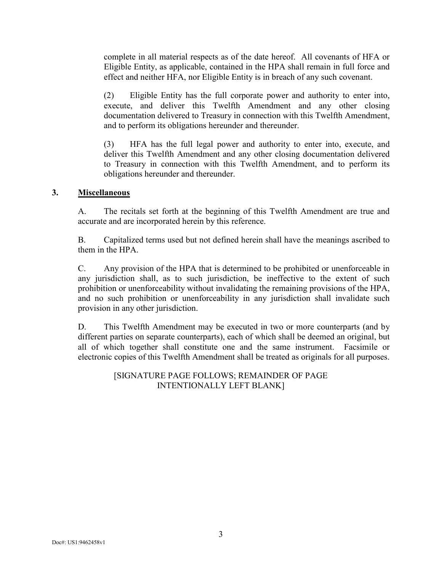complete in all material respects as of the date hereof. All covenants of HFA or Eligible Entity, as applicable, contained in the HPA shall remain in full force and effect and neither HFA, nor Eligible Entity is in breach of any such covenant.

(2) Eligible Entity has the full corporate power and authority to enter into, execute, and deliver this Twelfth Amendment and any other closing documentation delivered to Treasury in connection with this Twelfth Amendment, and to perform its obligations hereunder and thereunder.

(3) HFA has the full legal power and authority to enter into, execute, and deliver this Twelfth Amendment and any other closing documentation delivered to Treasury in connection with this Twelfth Amendment, and to perform its obligations hereunder and thereunder.

#### **3. Miscellaneous**

A. The recitals set forth at the beginning of this Twelfth Amendment are true and accurate and are incorporated herein by this reference.

B. Capitalized terms used but not defined herein shall have the meanings ascribed to them in the HPA.

C. Any provision of the HPA that is determined to be prohibited or unenforceable in any jurisdiction shall, as to such jurisdiction, be ineffective to the extent of such prohibition or unenforceability without invalidating the remaining provisions of the HPA, and no such prohibition or unenforceability in any jurisdiction shall invalidate such provision in any other jurisdiction.

D. This Twelfth Amendment may be executed in two or more counterparts (and by different parties on separate counterparts), each of which shall be deemed an original, but all of which together shall constitute one and the same instrument. Facsimile or electronic copies of this Twelfth Amendment shall be treated as originals for all purposes.

> [SIGNATURE PAGE FOLLOWS; REMAINDER OF PAGE INTENTIONALLY LEFT BLANK]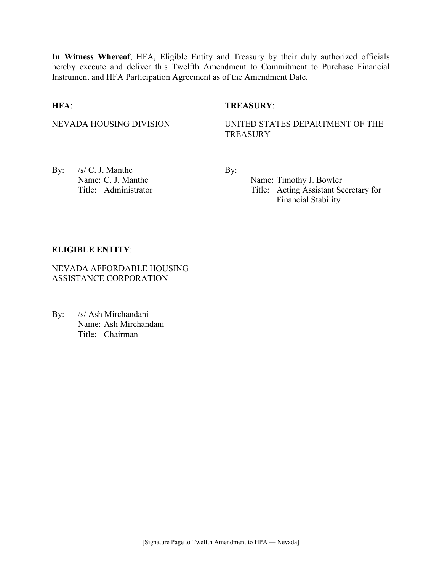**In Witness Whereof**, HFA, Eligible Entity and Treasury by their duly authorized officials hereby execute and deliver this Twelfth Amendment to Commitment to Purchase Financial Instrument and HFA Participation Agreement as of the Amendment Date.

#### **HFA**: **TREASURY**:

NEVADA HOUSING DIVISION UNITED STATES DEPARTMENT OF THE **TREASURY** 

By:  $/s/C$ . J. Manthe By: Name: C. J. Manthe Name: Timothy J. Bowler

Title: Administrator Title: Acting Assistant Secretary for Financial Stability

#### **ELIGIBLE ENTITY**:

NEVADA AFFORDABLE HOUSING ASSISTANCE CORPORATION

By: /s/ Ash Mirchandani Name: Ash Mirchandani Title: Chairman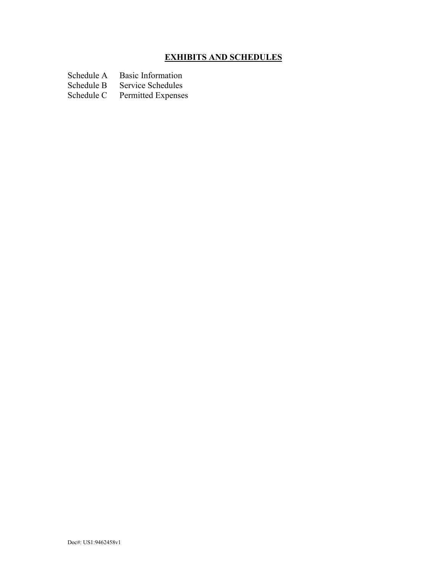# **EXHIBITS AND SCHEDULES**

Schedule A Basic Information<br>Schedule B Service Schedules

Schedule B Service Schedules<br>Schedule C Permitted Expense Permitted Expenses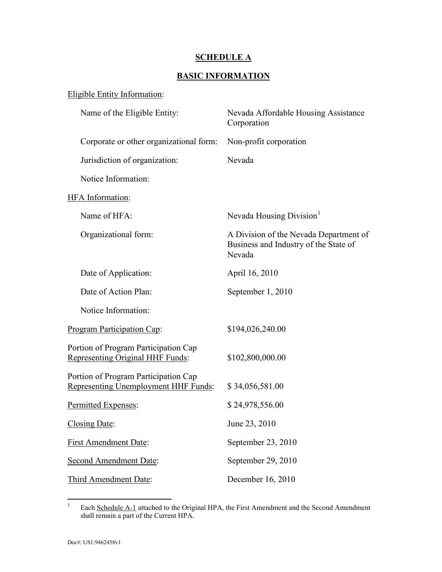#### **SCHEDULE A**

#### **BASIC INFORMATION**

#### Eligible Entity Information:

| Nevada Affordable Housing Assistance<br>Corporation                                       |
|-------------------------------------------------------------------------------------------|
| Non-profit corporation                                                                    |
| Nevada                                                                                    |
|                                                                                           |
|                                                                                           |
| Nevada Housing Division <sup>1</sup>                                                      |
| A Division of the Nevada Department of<br>Business and Industry of the State of<br>Nevada |
| April 16, 2010                                                                            |
| September 1, 2010                                                                         |
|                                                                                           |
| \$194,026,240.00                                                                          |
| \$102,800,000.00                                                                          |
| \$34,056,581.00                                                                           |
| \$24,978,556.00                                                                           |
| June 23, 2010                                                                             |
| September 23, 2010                                                                        |
| September 29, 2010                                                                        |
| December 16, 2010                                                                         |
|                                                                                           |

<span id="page-5-0"></span><sup>&</sup>lt;sup>1</sup> Each Schedule A-1 attached to the Original HPA, the First Amendment and the Second Amendment shall remain a part of the Current HPA.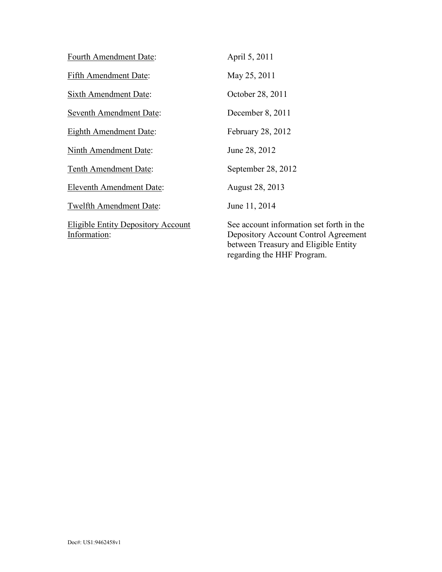| Fourth Amendment Date:                                    | April 5, 2011                                                                                                                                          |
|-----------------------------------------------------------|--------------------------------------------------------------------------------------------------------------------------------------------------------|
| <b>Fifth Amendment Date:</b>                              | May 25, 2011                                                                                                                                           |
| Sixth Amendment Date:                                     | October 28, 2011                                                                                                                                       |
| Seventh Amendment Date:                                   | December 8, 2011                                                                                                                                       |
| <b>Eighth Amendment Date:</b>                             | February 28, 2012                                                                                                                                      |
| <b>Ninth Amendment Date:</b>                              | June 28, 2012                                                                                                                                          |
| <b>Tenth Amendment Date:</b>                              | September 28, 2012                                                                                                                                     |
| Eleventh Amendment Date:                                  | August 28, 2013                                                                                                                                        |
| Twelfth Amendment Date:                                   | June 11, 2014                                                                                                                                          |
| <b>Eligible Entity Depository Account</b><br>Information: | See account information set forth in the<br>Depository Account Control Agreement<br>between Treasury and Eligible Entity<br>regarding the HHF Program. |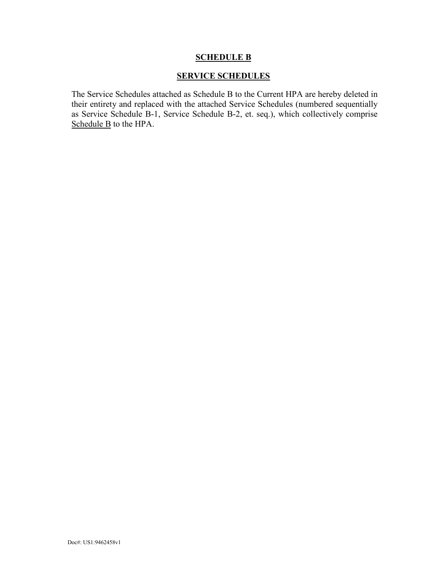#### **SCHEDULE B**

#### **SERVICE SCHEDULES**

The Service Schedules attached as Schedule B to the Current HPA are hereby deleted in their entirety and replaced with the attached Service Schedules (numbered sequentially as Service Schedule B-1, Service Schedule B-2, et. seq.), which collectively comprise Schedule B to the HPA.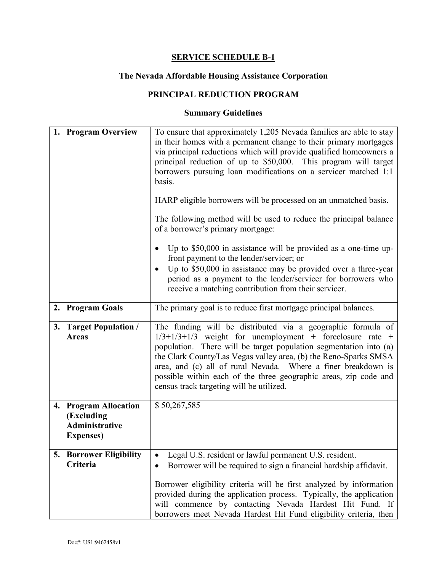# **The Nevada Affordable Housing Assistance Corporation**

## **PRINCIPAL REDUCTION PROGRAM**

|    | 1. Program Overview                                                               | To ensure that approximately 1,205 Nevada families are able to stay<br>in their homes with a permanent change to their primary mortgages<br>via principal reductions which will provide qualified homeowners a<br>principal reduction of up to \$50,000. This program will target<br>borrowers pursuing loan modifications on a servicer matched 1:1<br>basis.<br>HARP eligible borrowers will be processed on an unmatched basis.<br>The following method will be used to reduce the principal balance<br>of a borrower's primary mortgage:<br>Up to $$50,000$ in assistance will be provided as a one-time up-<br>front payment to the lender/servicer; or<br>Up to \$50,000 in assistance may be provided over a three-year<br>period as a payment to the lender/servicer for borrowers who<br>receive a matching contribution from their servicer. |
|----|-----------------------------------------------------------------------------------|--------------------------------------------------------------------------------------------------------------------------------------------------------------------------------------------------------------------------------------------------------------------------------------------------------------------------------------------------------------------------------------------------------------------------------------------------------------------------------------------------------------------------------------------------------------------------------------------------------------------------------------------------------------------------------------------------------------------------------------------------------------------------------------------------------------------------------------------------------|
|    | 2. Program Goals                                                                  | The primary goal is to reduce first mortgage principal balances.                                                                                                                                                                                                                                                                                                                                                                                                                                                                                                                                                                                                                                                                                                                                                                                       |
|    | 3. Target Population /<br><b>Areas</b>                                            | The funding will be distributed via a geographic formula of<br>$1/3+1/3+1/3$ weight for unemployment + foreclosure rate +<br>population. There will be target population segmentation into (a)<br>the Clark County/Las Vegas valley area, (b) the Reno-Sparks SMSA<br>area, and (c) all of rural Nevada. Where a finer breakdown is<br>possible within each of the three geographic areas, zip code and<br>census track targeting will be utilized.                                                                                                                                                                                                                                                                                                                                                                                                    |
|    | 4. Program Allocation<br>(Excluding<br><b>Administrative</b><br><b>Expenses</b> ) | \$50,267,585                                                                                                                                                                                                                                                                                                                                                                                                                                                                                                                                                                                                                                                                                                                                                                                                                                           |
| 5. | <b>Borrower Eligibility</b><br>Criteria                                           | Legal U.S. resident or lawful permanent U.S. resident.<br>Borrower will be required to sign a financial hardship affidavit.<br>Borrower eligibility criteria will be first analyzed by information<br>provided during the application process. Typically, the application<br>will commence by contacting Nevada Hardest Hit Fund. If<br>borrowers meet Nevada Hardest Hit Fund eligibility criteria, then                                                                                                                                                                                                                                                                                                                                                                                                                                              |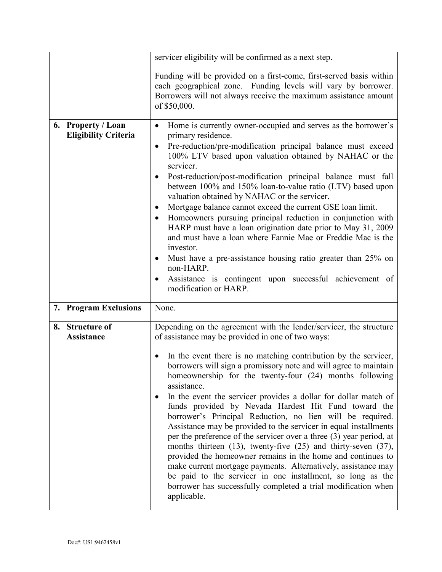|    |                                                   | servicer eligibility will be confirmed as a next step.                                                                                                                                                                                                                                                                                                                                                                                                                                                                                                                                                                                                                                                                                                                                                                                                                                                                                                                                                                                    |
|----|---------------------------------------------------|-------------------------------------------------------------------------------------------------------------------------------------------------------------------------------------------------------------------------------------------------------------------------------------------------------------------------------------------------------------------------------------------------------------------------------------------------------------------------------------------------------------------------------------------------------------------------------------------------------------------------------------------------------------------------------------------------------------------------------------------------------------------------------------------------------------------------------------------------------------------------------------------------------------------------------------------------------------------------------------------------------------------------------------------|
|    |                                                   | Funding will be provided on a first-come, first-served basis within<br>each geographical zone. Funding levels will vary by borrower.<br>Borrowers will not always receive the maximum assistance amount<br>of \$50,000.                                                                                                                                                                                                                                                                                                                                                                                                                                                                                                                                                                                                                                                                                                                                                                                                                   |
|    | 6. Property / Loan<br><b>Eligibility Criteria</b> | Home is currently owner-occupied and serves as the borrower's<br>$\bullet$<br>primary residence.<br>Pre-reduction/pre-modification principal balance must exceed<br>$\bullet$<br>100% LTV based upon valuation obtained by NAHAC or the<br>servicer.<br>Post-reduction/post-modification principal balance must fall<br>between 100% and 150% loan-to-value ratio (LTV) based upon<br>valuation obtained by NAHAC or the servicer.<br>Mortgage balance cannot exceed the current GSE loan limit.<br>Homeowners pursuing principal reduction in conjunction with<br>٠<br>HARP must have a loan origination date prior to May 31, 2009<br>and must have a loan where Fannie Mae or Freddie Mac is the<br>investor.<br>Must have a pre-assistance housing ratio greater than 25% on<br>$\bullet$<br>non-HARP.<br>Assistance is contingent upon successful achievement of<br>$\bullet$<br>modification or HARP.                                                                                                                               |
|    | 7. Program Exclusions                             | None.                                                                                                                                                                                                                                                                                                                                                                                                                                                                                                                                                                                                                                                                                                                                                                                                                                                                                                                                                                                                                                     |
| 8. | <b>Structure of</b><br><b>Assistance</b>          | Depending on the agreement with the lender/servicer, the structure<br>of assistance may be provided in one of two ways:<br>In the event there is no matching contribution by the servicer,<br>٠<br>borrowers will sign a promissory note and will agree to maintain<br>homeownership for the twenty-four (24) months following<br>assistance.<br>In the event the servicer provides a dollar for dollar match of<br>funds provided by Nevada Hardest Hit Fund toward the<br>borrower's Principal Reduction, no lien will be required.<br>Assistance may be provided to the servicer in equal installments<br>per the preference of the servicer over a three $(3)$ year period, at<br>months thirteen $(13)$ , twenty-five $(25)$ and thirty-seven $(37)$ ,<br>provided the homeowner remains in the home and continues to<br>make current mortgage payments. Alternatively, assistance may<br>be paid to the servicer in one installment, so long as the<br>borrower has successfully completed a trial modification when<br>applicable. |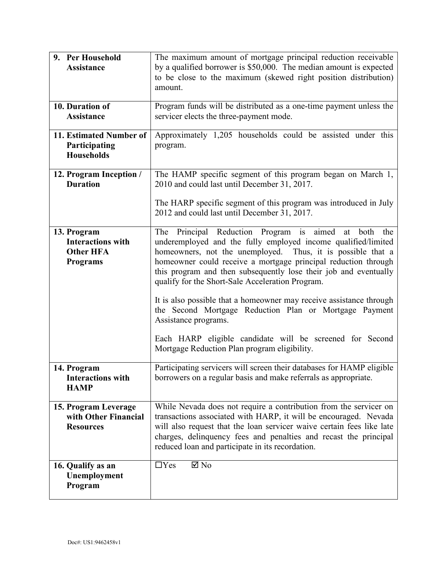| 9. Per Household<br><b>Assistance</b>                                          | The maximum amount of mortgage principal reduction receivable<br>by a qualified borrower is \$50,000. The median amount is expected<br>to be close to the maximum (skewed right position distribution)<br>amount.                                                                                                                                                                                                                                                                                                                                                                                                                                            |
|--------------------------------------------------------------------------------|--------------------------------------------------------------------------------------------------------------------------------------------------------------------------------------------------------------------------------------------------------------------------------------------------------------------------------------------------------------------------------------------------------------------------------------------------------------------------------------------------------------------------------------------------------------------------------------------------------------------------------------------------------------|
| 10. Duration of<br>Assistance                                                  | Program funds will be distributed as a one-time payment unless the<br>servicer elects the three-payment mode.                                                                                                                                                                                                                                                                                                                                                                                                                                                                                                                                                |
| 11. Estimated Number of<br>Participating<br><b>Households</b>                  | Approximately 1,205 households could be assisted under this<br>program.                                                                                                                                                                                                                                                                                                                                                                                                                                                                                                                                                                                      |
| 12. Program Inception /<br><b>Duration</b>                                     | The HAMP specific segment of this program began on March 1,<br>2010 and could last until December 31, 2017.                                                                                                                                                                                                                                                                                                                                                                                                                                                                                                                                                  |
|                                                                                | The HARP specific segment of this program was introduced in July<br>2012 and could last until December 31, 2017.                                                                                                                                                                                                                                                                                                                                                                                                                                                                                                                                             |
| 13. Program<br><b>Interactions with</b><br><b>Other HFA</b><br><b>Programs</b> | Principal Reduction Program is aimed at<br>The<br>both<br>the<br>underemployed and the fully employed income qualified/limited<br>homeowners, not the unemployed. Thus, it is possible that a<br>homeowner could receive a mortgage principal reduction through<br>this program and then subsequently lose their job and eventually<br>qualify for the Short-Sale Acceleration Program.<br>It is also possible that a homeowner may receive assistance through<br>the Second Mortgage Reduction Plan or Mortgage Payment<br>Assistance programs.<br>Each HARP eligible candidate will be screened for Second<br>Mortgage Reduction Plan program eligibility. |
| 14. Program<br><b>Interactions with</b><br><b>HAMP</b>                         | Participating servicers will screen their databases for HAMP eligible<br>borrowers on a regular basis and make referrals as appropriate.                                                                                                                                                                                                                                                                                                                                                                                                                                                                                                                     |
| 15. Program Leverage<br>with Other Financial<br><b>Resources</b>               | While Nevada does not require a contribution from the servicer on<br>transactions associated with HARP, it will be encouraged. Nevada<br>will also request that the loan servicer waive certain fees like late<br>charges, delinquency fees and penalties and recast the principal<br>reduced loan and participate in its recordation.                                                                                                                                                                                                                                                                                                                       |
| 16. Qualify as an<br>Unemployment<br>Program                                   | $\boxtimes$ No<br>$\Box$ Yes                                                                                                                                                                                                                                                                                                                                                                                                                                                                                                                                                                                                                                 |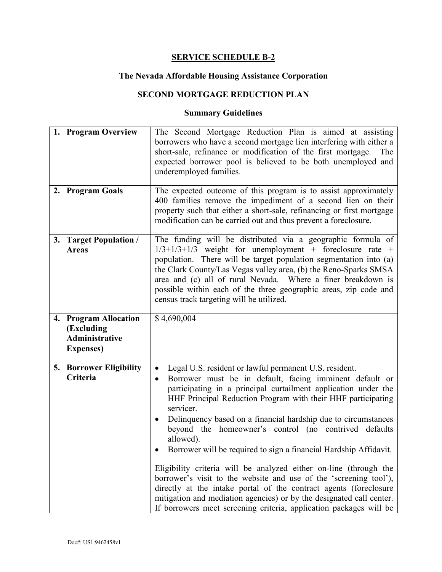#### **The Nevada Affordable Housing Assistance Corporation**

## **SECOND MORTGAGE REDUCTION PLAN**

|    | 1. Program Overview                                                        | The Second Mortgage Reduction Plan is aimed at assisting<br>borrowers who have a second mortgage lien interfering with either a<br>short-sale, refinance or modification of the first mortgage.<br>The<br>expected borrower pool is believed to be both unemployed and<br>underemployed families.                                                                                                                                                                                                                                                                                                                                                                                                                                                                                                                                                                    |
|----|----------------------------------------------------------------------------|----------------------------------------------------------------------------------------------------------------------------------------------------------------------------------------------------------------------------------------------------------------------------------------------------------------------------------------------------------------------------------------------------------------------------------------------------------------------------------------------------------------------------------------------------------------------------------------------------------------------------------------------------------------------------------------------------------------------------------------------------------------------------------------------------------------------------------------------------------------------|
|    | 2. Program Goals                                                           | The expected outcome of this program is to assist approximately<br>400 families remove the impediment of a second lien on their<br>property such that either a short-sale, refinancing or first mortgage<br>modification can be carried out and thus prevent a foreclosure.                                                                                                                                                                                                                                                                                                                                                                                                                                                                                                                                                                                          |
| 3. | <b>Target Population /</b><br><b>Areas</b>                                 | The funding will be distributed via a geographic formula of<br>$1/3+1/3+1/3$ weight for unemployment + foreclosure rate +<br>population. There will be target population segmentation into (a)<br>the Clark County/Las Vegas valley area, (b) the Reno-Sparks SMSA<br>area and (c) all of rural Nevada. Where a finer breakdown is<br>possible within each of the three geographic areas, zip code and<br>census track targeting will be utilized.                                                                                                                                                                                                                                                                                                                                                                                                                   |
|    | 4. Program Allocation<br>(Excluding<br>Administrative<br><b>Expenses</b> ) | \$4,690,004                                                                                                                                                                                                                                                                                                                                                                                                                                                                                                                                                                                                                                                                                                                                                                                                                                                          |
|    | <b>5. Borrower Eligibility</b><br>Criteria                                 | Legal U.S. resident or lawful permanent U.S. resident.<br>Borrower must be in default, facing imminent default or<br>$\bullet$<br>participating in a principal curtailment application under the<br>HHF Principal Reduction Program with their HHF participating<br>servicer.<br>Delinquency based on a financial hardship due to circumstances<br>$\bullet$<br>beyond the homeowner's control (no contrived defaults<br>allowed).<br>Borrower will be required to sign a financial Hardship Affidavit.<br>Eligibility criteria will be analyzed either on-line (through the<br>borrower's visit to the website and use of the 'screening tool'),<br>directly at the intake portal of the contract agents (foreclosure<br>mitigation and mediation agencies) or by the designated call center.<br>If borrowers meet screening criteria, application packages will be |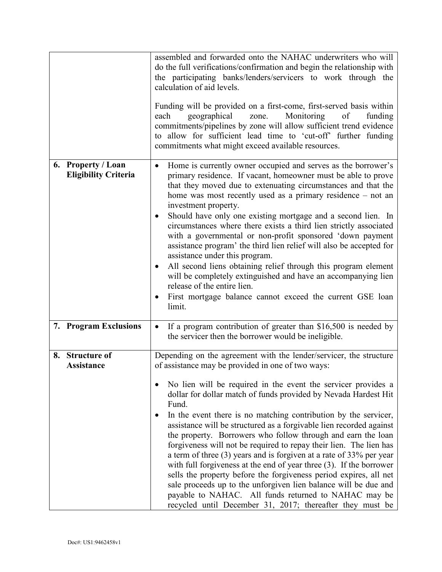|                                                   | assembled and forwarded onto the NAHAC underwriters who will<br>do the full verifications/confirmation and begin the relationship with<br>the participating banks/lenders/servicers to work through the<br>calculation of aid levels.<br>Funding will be provided on a first-come, first-served basis within<br>geographical<br>Monitoring<br>each<br>zone.<br>of<br>funding<br>commitments/pipelines by zone will allow sufficient trend evidence<br>to allow for sufficient lead time to 'cut-off' further funding<br>commitments what might exceed available resources.                                                                                                                                                                                                                                                                                                                                                                                      |
|---------------------------------------------------|-----------------------------------------------------------------------------------------------------------------------------------------------------------------------------------------------------------------------------------------------------------------------------------------------------------------------------------------------------------------------------------------------------------------------------------------------------------------------------------------------------------------------------------------------------------------------------------------------------------------------------------------------------------------------------------------------------------------------------------------------------------------------------------------------------------------------------------------------------------------------------------------------------------------------------------------------------------------|
| 6. Property / Loan<br><b>Eligibility Criteria</b> | Home is currently owner occupied and serves as the borrower's<br>$\bullet$<br>primary residence. If vacant, homeowner must be able to prove<br>that they moved due to extenuating circumstances and that the<br>home was most recently used as a primary residence $-$ not an<br>investment property.<br>Should have only one existing mortgage and a second lien. In<br>circumstances where there exists a third lien strictly associated<br>with a governmental or non-profit sponsored 'down payment<br>assistance program' the third lien relief will also be accepted for<br>assistance under this program.<br>All second liens obtaining relief through this program element<br>$\bullet$<br>will be completely extinguished and have an accompanying lien<br>release of the entire lien.<br>First mortgage balance cannot exceed the current GSE loan<br>limit.                                                                                          |
| 7. Program Exclusions                             | If a program contribution of greater than \$16,500 is needed by<br>$\bullet$<br>the servicer then the borrower would be ineligible.                                                                                                                                                                                                                                                                                                                                                                                                                                                                                                                                                                                                                                                                                                                                                                                                                             |
| 8. Structure of<br><b>Assistance</b>              | Depending on the agreement with the lender/servicer, the structure<br>of assistance may be provided in one of two ways:<br>No lien will be required in the event the servicer provides a<br>dollar for dollar match of funds provided by Nevada Hardest Hit<br>Fund.<br>In the event there is no matching contribution by the servicer,<br>assistance will be structured as a forgivable lien recorded against<br>the property. Borrowers who follow through and earn the loan<br>forgiveness will not be required to repay their lien. The lien has<br>a term of three (3) years and is forgiven at a rate of 33% per year<br>with full forgiveness at the end of year three (3). If the borrower<br>sells the property before the forgiveness period expires, all net<br>sale proceeds up to the unforgiven lien balance will be due and<br>payable to NAHAC. All funds returned to NAHAC may be<br>recycled until December 31, 2017; thereafter they must be |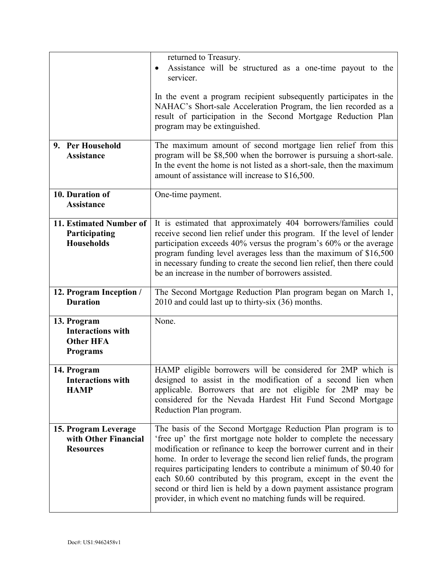|                                                                                | returned to Treasury.<br>Assistance will be structured as a one-time payout to the<br>$\bullet$<br>servicer.                                                                                                                                                                                                                                                                                                                                                                                                                                                        |
|--------------------------------------------------------------------------------|---------------------------------------------------------------------------------------------------------------------------------------------------------------------------------------------------------------------------------------------------------------------------------------------------------------------------------------------------------------------------------------------------------------------------------------------------------------------------------------------------------------------------------------------------------------------|
|                                                                                | In the event a program recipient subsequently participates in the<br>NAHAC's Short-sale Acceleration Program, the lien recorded as a<br>result of participation in the Second Mortgage Reduction Plan<br>program may be extinguished.                                                                                                                                                                                                                                                                                                                               |
| 9. Per Household<br><b>Assistance</b>                                          | The maximum amount of second mortgage lien relief from this<br>program will be \$8,500 when the borrower is pursuing a short-sale.<br>In the event the home is not listed as a short-sale, then the maximum<br>amount of assistance will increase to \$16,500.                                                                                                                                                                                                                                                                                                      |
| 10. Duration of<br><b>Assistance</b>                                           | One-time payment.                                                                                                                                                                                                                                                                                                                                                                                                                                                                                                                                                   |
| 11. Estimated Number of<br>Participating<br><b>Households</b>                  | It is estimated that approximately 404 borrowers/families could<br>receive second lien relief under this program. If the level of lender<br>participation exceeds 40% versus the program's 60% or the average<br>program funding level averages less than the maximum of \$16,500<br>in necessary funding to create the second lien relief, then there could<br>be an increase in the number of borrowers assisted.                                                                                                                                                 |
| 12. Program Inception /<br><b>Duration</b>                                     | The Second Mortgage Reduction Plan program began on March 1,<br>2010 and could last up to thirty-six (36) months.                                                                                                                                                                                                                                                                                                                                                                                                                                                   |
| 13. Program<br><b>Interactions with</b><br><b>Other HFA</b><br><b>Programs</b> | None.                                                                                                                                                                                                                                                                                                                                                                                                                                                                                                                                                               |
| 14. Program<br><b>Interactions with</b><br><b>HAMP</b>                         | HAMP eligible borrowers will be considered for 2MP which is<br>designed to assist in the modification of a second lien when<br>applicable. Borrowers that are not eligible for 2MP may be<br>considered for the Nevada Hardest Hit Fund Second Mortgage<br>Reduction Plan program.                                                                                                                                                                                                                                                                                  |
| 15. Program Leverage<br>with Other Financial<br><b>Resources</b>               | The basis of the Second Mortgage Reduction Plan program is to<br>'free up' the first mortgage note holder to complete the necessary<br>modification or refinance to keep the borrower current and in their<br>home. In order to leverage the second lien relief funds, the program<br>requires participating lenders to contribute a minimum of \$0.40 for<br>each \$0.60 contributed by this program, except in the event the<br>second or third lien is held by a down payment assistance program<br>provider, in which event no matching funds will be required. |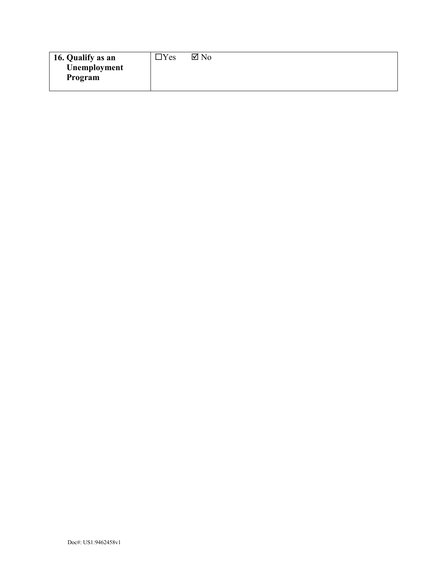| 16. Qualify as an | Yes | $\boxtimes$ No |
|-------------------|-----|----------------|
| Unemployment      |     |                |
| Program           |     |                |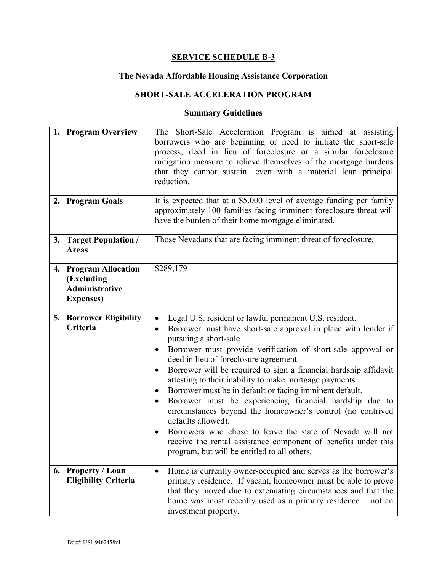#### **The Nevada Affordable Housing Assistance Corporation**

## **SHORT-SALE ACCELERATION PROGRAM**

| 1. Program Overview                                                               | The Short-Sale Acceleration Program is aimed at assisting<br>borrowers who are beginning or need to initiate the short-sale<br>process, deed in lieu of foreclosure or a similar foreclosure<br>mitigation measure to relieve themselves of the mortgage burdens<br>that they cannot sustain—even with a material loan principal<br>reduction.                                                                                                                                                                                                                                                                                                                                                                                                                                                                   |
|-----------------------------------------------------------------------------------|------------------------------------------------------------------------------------------------------------------------------------------------------------------------------------------------------------------------------------------------------------------------------------------------------------------------------------------------------------------------------------------------------------------------------------------------------------------------------------------------------------------------------------------------------------------------------------------------------------------------------------------------------------------------------------------------------------------------------------------------------------------------------------------------------------------|
| 2. Program Goals                                                                  | It is expected that at a \$5,000 level of average funding per family<br>approximately 100 families facing imminent foreclosure threat will<br>have the burden of their home mortgage eliminated.                                                                                                                                                                                                                                                                                                                                                                                                                                                                                                                                                                                                                 |
| 3. Target Population /<br><b>Areas</b>                                            | Those Nevadans that are facing imminent threat of foreclosure.                                                                                                                                                                                                                                                                                                                                                                                                                                                                                                                                                                                                                                                                                                                                                   |
| 4. Program Allocation<br>(Excluding<br><b>Administrative</b><br><b>Expenses</b> ) | \$289,179                                                                                                                                                                                                                                                                                                                                                                                                                                                                                                                                                                                                                                                                                                                                                                                                        |
| <b>5. Borrower Eligibility</b><br>Criteria                                        | Legal U.S. resident or lawful permanent U.S. resident.<br>$\bullet$<br>Borrower must have short-sale approval in place with lender if<br>٠<br>pursuing a short-sale.<br>Borrower must provide verification of short-sale approval or<br>deed in lieu of foreclosure agreement.<br>Borrower will be required to sign a financial hardship affidavit<br>٠<br>attesting to their inability to make mortgage payments.<br>Borrower must be in default or facing imminent default.<br>Borrower must be experiencing financial hardship due to<br>٠<br>circumstances beyond the homeowner's control (no contrived<br>defaults allowed).<br>Borrowers who chose to leave the state of Nevada will not<br>receive the rental assistance component of benefits under this<br>program, but will be entitled to all others. |
| 6. Property / Loan<br><b>Eligibility Criteria</b>                                 | Home is currently owner-occupied and serves as the borrower's<br>$\bullet$<br>primary residence. If vacant, homeowner must be able to prove<br>that they moved due to extenuating circumstances and that the<br>home was most recently used as a primary residence - not an<br>investment property.                                                                                                                                                                                                                                                                                                                                                                                                                                                                                                              |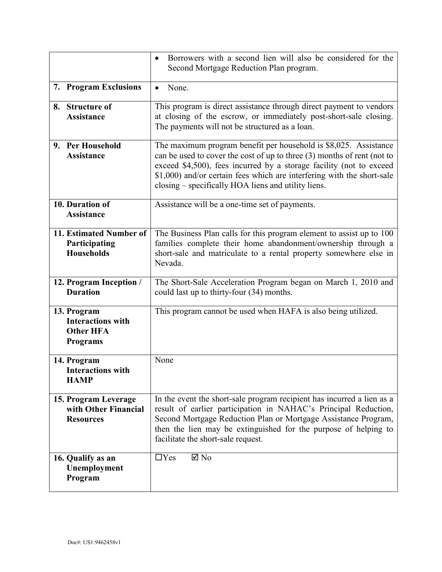|                                                                                | Borrowers with a second lien will also be considered for the<br>Second Mortgage Reduction Plan program.                                                                                                                                                                                                                                             |
|--------------------------------------------------------------------------------|-----------------------------------------------------------------------------------------------------------------------------------------------------------------------------------------------------------------------------------------------------------------------------------------------------------------------------------------------------|
| 7. Program Exclusions                                                          | None.<br>$\bullet$                                                                                                                                                                                                                                                                                                                                  |
| <b>Structure of</b><br>8.<br><b>Assistance</b>                                 | This program is direct assistance through direct payment to vendors<br>at closing of the escrow, or immediately post-short-sale closing.<br>The payments will not be structured as a loan.                                                                                                                                                          |
| <b>Per Household</b><br>9.<br><b>Assistance</b>                                | The maximum program benefit per household is \$8,025. Assistance<br>can be used to cover the cost of up to three (3) months of rent (not to<br>exceed \$4,500), fees incurred by a storage facility (not to exceed<br>\$1,000) and/or certain fees which are interfering with the short-sale<br>closing – specifically HOA liens and utility liens. |
| 10. Duration of<br><b>Assistance</b>                                           | Assistance will be a one-time set of payments.                                                                                                                                                                                                                                                                                                      |
| 11. Estimated Number of<br>Participating<br><b>Households</b>                  | The Business Plan calls for this program element to assist up to 100<br>families complete their home abandonment/ownership through a<br>short-sale and matriculate to a rental property somewhere else in<br>Nevada.                                                                                                                                |
| 12. Program Inception /<br><b>Duration</b>                                     | The Short-Sale Acceleration Program began on March 1, 2010 and<br>could last up to thirty-four (34) months.                                                                                                                                                                                                                                         |
| 13. Program<br><b>Interactions with</b><br><b>Other HFA</b><br><b>Programs</b> | This program cannot be used when HAFA is also being utilized.                                                                                                                                                                                                                                                                                       |
| 14. Program<br><b>Interactions with</b><br><b>HAMP</b>                         | None                                                                                                                                                                                                                                                                                                                                                |
| 15. Program Leverage<br>with Other Financial<br><b>Resources</b>               | In the event the short-sale program recipient has incurred a lien as a<br>result of earlier participation in NAHAC's Principal Reduction,<br>Second Mortgage Reduction Plan or Mortgage Assistance Program,<br>then the lien may be extinguished for the purpose of helping to<br>facilitate the short-sale request.                                |
| 16. Qualify as an<br>Unemployment<br>Program                                   | $\boxtimes$ No<br>$\Box$ Yes                                                                                                                                                                                                                                                                                                                        |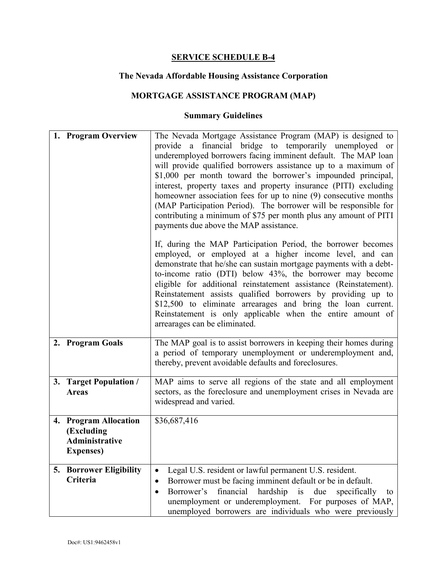#### **The Nevada Affordable Housing Assistance Corporation**

# **MORTGAGE ASSISTANCE PROGRAM (MAP)**

| 1. Program Overview                                                               | The Nevada Mortgage Assistance Program (MAP) is designed to<br>provide a financial bridge to temporarily unemployed or<br>underemployed borrowers facing imminent default. The MAP loan<br>will provide qualified borrowers assistance up to a maximum of<br>\$1,000 per month toward the borrower's impounded principal,<br>interest, property taxes and property insurance (PITI) excluding<br>homeowner association fees for up to nine (9) consecutive months<br>(MAP Participation Period). The borrower will be responsible for<br>contributing a minimum of \$75 per month plus any amount of PITI<br>payments due above the MAP assistance. |
|-----------------------------------------------------------------------------------|-----------------------------------------------------------------------------------------------------------------------------------------------------------------------------------------------------------------------------------------------------------------------------------------------------------------------------------------------------------------------------------------------------------------------------------------------------------------------------------------------------------------------------------------------------------------------------------------------------------------------------------------------------|
|                                                                                   | If, during the MAP Participation Period, the borrower becomes<br>employed, or employed at a higher income level, and can<br>demonstrate that he/she can sustain mortgage payments with a debt-<br>to-income ratio (DTI) below 43%, the borrower may become<br>eligible for additional reinstatement assistance (Reinstatement).<br>Reinstatement assists qualified borrowers by providing up to<br>\$12,500 to eliminate arrearages and bring the loan current.<br>Reinstatement is only applicable when the entire amount of<br>arrearages can be eliminated.                                                                                      |
| 2. Program Goals                                                                  | The MAP goal is to assist borrowers in keeping their homes during<br>a period of temporary unemployment or underemployment and,<br>thereby, prevent avoidable defaults and foreclosures.                                                                                                                                                                                                                                                                                                                                                                                                                                                            |
| 3. Target Population /<br><b>Areas</b>                                            | MAP aims to serve all regions of the state and all employment<br>sectors, as the foreclosure and unemployment crises in Nevada are<br>widespread and varied.                                                                                                                                                                                                                                                                                                                                                                                                                                                                                        |
| 4. Program Allocation<br>(Excluding<br><b>Administrative</b><br><b>Expenses</b> ) | \$36,687,416                                                                                                                                                                                                                                                                                                                                                                                                                                                                                                                                                                                                                                        |
| <b>5. Borrower Eligibility</b><br>Criteria                                        | Legal U.S. resident or lawful permanent U.S. resident.<br>$\bullet$<br>Borrower must be facing imminent default or be in default.<br>$\bullet$<br>Borrower's<br>financial<br>hardship<br>is<br>due<br>specifically<br>to<br>$\bullet$<br>unemployment or underemployment. For purposes of MAP,<br>unemployed borrowers are individuals who were previously                                                                                                                                                                                                                                                                                          |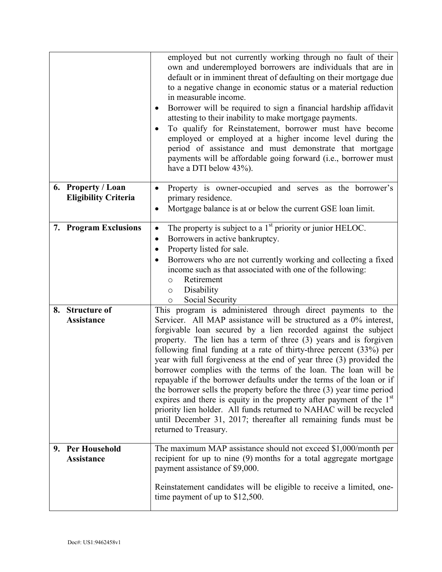|                                                   | employed but not currently working through no fault of their<br>own and underemployed borrowers are individuals that are in<br>default or in imminent threat of defaulting on their mortgage due<br>to a negative change in economic status or a material reduction<br>in measurable income.<br>Borrower will be required to sign a financial hardship affidavit<br>attesting to their inability to make mortgage payments.<br>To qualify for Reinstatement, borrower must have become<br>employed or employed at a higher income level during the<br>period of assistance and must demonstrate that mortgage<br>payments will be affordable going forward (i.e., borrower must<br>have a DTI below 43%).                                                                                                                                                                            |
|---------------------------------------------------|--------------------------------------------------------------------------------------------------------------------------------------------------------------------------------------------------------------------------------------------------------------------------------------------------------------------------------------------------------------------------------------------------------------------------------------------------------------------------------------------------------------------------------------------------------------------------------------------------------------------------------------------------------------------------------------------------------------------------------------------------------------------------------------------------------------------------------------------------------------------------------------|
| 6. Property / Loan<br><b>Eligibility Criteria</b> | Property is owner-occupied and serves as the borrower's<br>primary residence.<br>Mortgage balance is at or below the current GSE loan limit.                                                                                                                                                                                                                                                                                                                                                                                                                                                                                                                                                                                                                                                                                                                                         |
| 7. Program Exclusions                             | The property is subject to a 1 <sup>st</sup> priority or junior HELOC.<br>٠<br>Borrowers in active bankruptcy.<br>Property listed for sale.<br>Borrowers who are not currently working and collecting a fixed<br>income such as that associated with one of the following:<br>Retirement<br>$\circ$<br>Disability<br>$\circ$<br>Social Security<br>$\circ$                                                                                                                                                                                                                                                                                                                                                                                                                                                                                                                           |
| <b>Structure of</b><br>8.<br><b>Assistance</b>    | This program is administered through direct payments to the<br>Servicer. All MAP assistance will be structured as a 0% interest,<br>forgivable loan secured by a lien recorded against the subject<br>property. The lien has a term of three (3) years and is forgiven<br>following final funding at a rate of thirty-three percent (33%) per<br>year with full forgiveness at the end of year three (3) provided the<br>borrower complies with the terms of the loan. The loan will be<br>repayable if the borrower defaults under the terms of the loan or if<br>the borrower sells the property before the three (3) year time period<br>expires and there is equity in the property after payment of the $1st$<br>priority lien holder. All funds returned to NAHAC will be recycled<br>until December 31, 2017; thereafter all remaining funds must be<br>returned to Treasury. |
| 9. Per Household<br><b>Assistance</b>             | The maximum MAP assistance should not exceed \$1,000/month per<br>recipient for up to nine (9) months for a total aggregate mortgage<br>payment assistance of \$9,000.<br>Reinstatement candidates will be eligible to receive a limited, one-<br>time payment of up to $$12,500$ .                                                                                                                                                                                                                                                                                                                                                                                                                                                                                                                                                                                                  |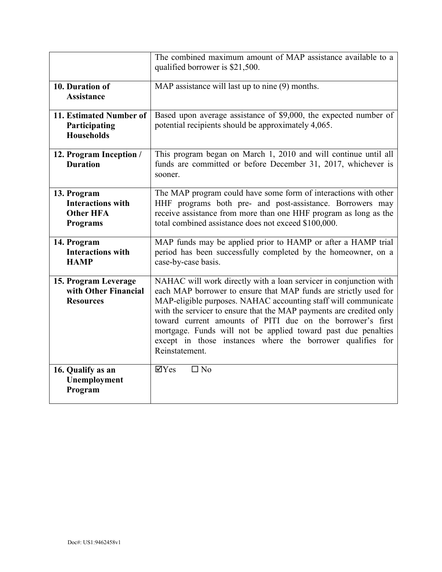|                                                                                | The combined maximum amount of MAP assistance available to a<br>qualified borrower is \$21,500.                                                                                                                                                                                                                                                                                                                                                                                               |
|--------------------------------------------------------------------------------|-----------------------------------------------------------------------------------------------------------------------------------------------------------------------------------------------------------------------------------------------------------------------------------------------------------------------------------------------------------------------------------------------------------------------------------------------------------------------------------------------|
| 10. Duration of<br><b>Assistance</b>                                           | MAP assistance will last up to nine (9) months.                                                                                                                                                                                                                                                                                                                                                                                                                                               |
| 11. Estimated Number of<br>Participating<br><b>Households</b>                  | Based upon average assistance of \$9,000, the expected number of<br>potential recipients should be approximately 4,065.                                                                                                                                                                                                                                                                                                                                                                       |
| 12. Program Inception /<br><b>Duration</b>                                     | This program began on March 1, 2010 and will continue until all<br>funds are committed or before December 31, 2017, whichever is<br>sooner.                                                                                                                                                                                                                                                                                                                                                   |
| 13. Program<br><b>Interactions with</b><br><b>Other HFA</b><br><b>Programs</b> | The MAP program could have some form of interactions with other<br>HHF programs both pre- and post-assistance. Borrowers may<br>receive assistance from more than one HHF program as long as the<br>total combined assistance does not exceed \$100,000.                                                                                                                                                                                                                                      |
| 14. Program<br><b>Interactions with</b><br><b>HAMP</b>                         | MAP funds may be applied prior to HAMP or after a HAMP trial<br>period has been successfully completed by the homeowner, on a<br>case-by-case basis.                                                                                                                                                                                                                                                                                                                                          |
| 15. Program Leverage<br>with Other Financial<br><b>Resources</b>               | NAHAC will work directly with a loan servicer in conjunction with<br>each MAP borrower to ensure that MAP funds are strictly used for<br>MAP-eligible purposes. NAHAC accounting staff will communicate<br>with the servicer to ensure that the MAP payments are credited only<br>toward current amounts of PITI due on the borrower's first<br>mortgage. Funds will not be applied toward past due penalties<br>except in those instances where the borrower qualifies for<br>Reinstatement. |
| 16. Qualify as an<br>Unemployment<br>Program                                   | $\overline{\Box}$ No<br>$\overline{\mathbf{Y}}$ Yes                                                                                                                                                                                                                                                                                                                                                                                                                                           |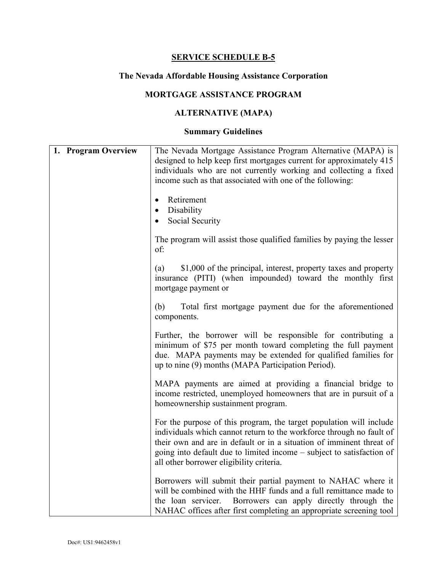# **The Nevada Affordable Housing Assistance Corporation**

# **MORTGAGE ASSISTANCE PROGRAM**

# **ALTERNATIVE (MAPA)**

| 1. Program Overview | The Nevada Mortgage Assistance Program Alternative (MAPA) is<br>designed to help keep first mortgages current for approximately 415<br>individuals who are not currently working and collecting a fixed<br>income such as that associated with one of the following:                                                                     |
|---------------------|------------------------------------------------------------------------------------------------------------------------------------------------------------------------------------------------------------------------------------------------------------------------------------------------------------------------------------------|
|                     | Retirement                                                                                                                                                                                                                                                                                                                               |
|                     | Disability                                                                                                                                                                                                                                                                                                                               |
|                     | Social Security                                                                                                                                                                                                                                                                                                                          |
|                     | The program will assist those qualified families by paying the lesser<br>of:                                                                                                                                                                                                                                                             |
|                     | \$1,000 of the principal, interest, property taxes and property<br>(a)<br>insurance (PITI) (when impounded) toward the monthly first<br>mortgage payment or                                                                                                                                                                              |
|                     | Total first mortgage payment due for the aforementioned<br>(b)<br>components.                                                                                                                                                                                                                                                            |
|                     | Further, the borrower will be responsible for contributing a<br>minimum of \$75 per month toward completing the full payment<br>due. MAPA payments may be extended for qualified families for<br>up to nine (9) months (MAPA Participation Period).                                                                                      |
|                     | MAPA payments are aimed at providing a financial bridge to<br>income restricted, unemployed homeowners that are in pursuit of a<br>homeownership sustainment program.                                                                                                                                                                    |
|                     | For the purpose of this program, the target population will include<br>individuals which cannot return to the workforce through no fault of<br>their own and are in default or in a situation of imminent threat of<br>going into default due to limited income – subject to satisfaction of<br>all other borrower eligibility criteria. |
|                     | Borrowers will submit their partial payment to NAHAC where it<br>will be combined with the HHF funds and a full remittance made to<br>the loan servicer. Borrowers can apply directly through the<br>NAHAC offices after first completing an appropriate screening tool                                                                  |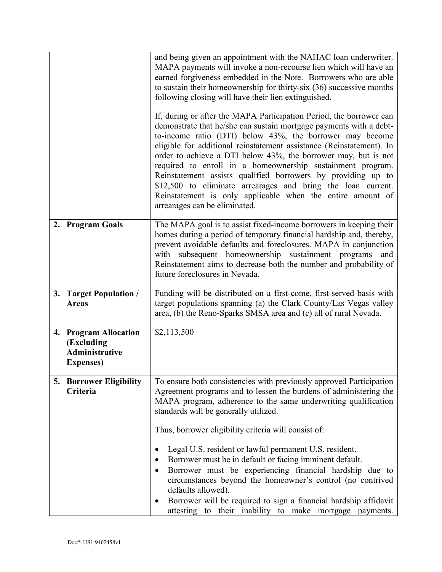|    |                                                                                   | and being given an appointment with the NAHAC loan underwriter.<br>MAPA payments will invoke a non-recourse lien which will have an<br>earned forgiveness embedded in the Note. Borrowers who are able<br>to sustain their homeownership for thirty-six (36) successive months<br>following closing will have their lien extinguished.<br>If, during or after the MAPA Participation Period, the borrower can<br>demonstrate that he/she can sustain mortgage payments with a debt-<br>to-income ratio (DTI) below 43%, the borrower may become<br>eligible for additional reinstatement assistance (Reinstatement). In<br>order to achieve a DTI below 43%, the borrower may, but is not<br>required to enroll in a homeownership sustainment program.<br>Reinstatement assists qualified borrowers by providing up to<br>\$12,500 to eliminate arrearages and bring the loan current.<br>Reinstatement is only applicable when the entire amount of |  |
|----|-----------------------------------------------------------------------------------|-------------------------------------------------------------------------------------------------------------------------------------------------------------------------------------------------------------------------------------------------------------------------------------------------------------------------------------------------------------------------------------------------------------------------------------------------------------------------------------------------------------------------------------------------------------------------------------------------------------------------------------------------------------------------------------------------------------------------------------------------------------------------------------------------------------------------------------------------------------------------------------------------------------------------------------------------------|--|
|    |                                                                                   | arrearages can be eliminated.                                                                                                                                                                                                                                                                                                                                                                                                                                                                                                                                                                                                                                                                                                                                                                                                                                                                                                                         |  |
|    | 2. Program Goals                                                                  | The MAPA goal is to assist fixed-income borrowers in keeping their<br>homes during a period of temporary financial hardship and, thereby,<br>prevent avoidable defaults and foreclosures. MAPA in conjunction<br>with subsequent homeownership sustainment programs<br>and<br>Reinstatement aims to decrease both the number and probability of<br>future foreclosures in Nevada.                                                                                                                                                                                                                                                                                                                                                                                                                                                                                                                                                                     |  |
|    | 3. Target Population /<br><b>Areas</b>                                            | Funding will be distributed on a first-come, first-served basis with<br>target populations spanning (a) the Clark County/Las Vegas valley<br>area, (b) the Reno-Sparks SMSA area and (c) all of rural Nevada.                                                                                                                                                                                                                                                                                                                                                                                                                                                                                                                                                                                                                                                                                                                                         |  |
|    | 4. Program Allocation<br>(Excluding<br><b>Administrative</b><br><b>Expenses</b> ) | \$2,113,500                                                                                                                                                                                                                                                                                                                                                                                                                                                                                                                                                                                                                                                                                                                                                                                                                                                                                                                                           |  |
| 5. | <b>Borrower Eligibility</b><br>Criteria                                           | To ensure both consistencies with previously approved Participation<br>Agreement programs and to lessen the burdens of administering the<br>MAPA program, adherence to the same underwriting qualification<br>standards will be generally utilized.                                                                                                                                                                                                                                                                                                                                                                                                                                                                                                                                                                                                                                                                                                   |  |
|    |                                                                                   | Thus, borrower eligibility criteria will consist of:                                                                                                                                                                                                                                                                                                                                                                                                                                                                                                                                                                                                                                                                                                                                                                                                                                                                                                  |  |
|    |                                                                                   | Legal U.S. resident or lawful permanent U.S. resident.<br>Borrower must be in default or facing imminent default.<br>Borrower must be experiencing financial hardship due to<br>circumstances beyond the homeowner's control (no contrived<br>defaults allowed).<br>Borrower will be required to sign a financial hardship affidavit<br>attesting to their inability to make mortgage payments.                                                                                                                                                                                                                                                                                                                                                                                                                                                                                                                                                       |  |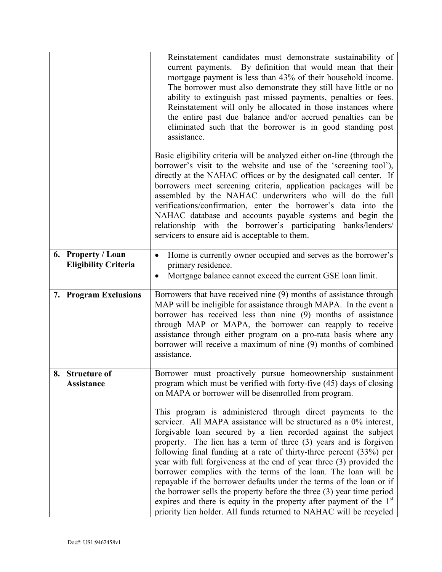|                                                   | Reinstatement candidates must demonstrate sustainability of<br>current payments. By definition that would mean that their<br>mortgage payment is less than 43% of their household income.<br>The borrower must also demonstrate they still have little or no<br>ability to extinguish past missed payments, penalties or fees.<br>Reinstatement will only be allocated in those instances where<br>the entire past due balance and/or accrued penalties can be<br>eliminated such that the borrower is in good standing post<br>assistance.                                                         |
|---------------------------------------------------|-----------------------------------------------------------------------------------------------------------------------------------------------------------------------------------------------------------------------------------------------------------------------------------------------------------------------------------------------------------------------------------------------------------------------------------------------------------------------------------------------------------------------------------------------------------------------------------------------------|
|                                                   | Basic eligibility criteria will be analyzed either on-line (through the<br>borrower's visit to the website and use of the 'screening tool'),<br>directly at the NAHAC offices or by the designated call center. If<br>borrowers meet screening criteria, application packages will be<br>assembled by the NAHAC underwriters who will do the full<br>verifications/confirmation, enter the borrower's data into the<br>NAHAC database and accounts payable systems and begin the<br>relationship with the borrower's participating banks/lenders/<br>servicers to ensure aid is acceptable to them. |
| 6. Property / Loan<br><b>Eligibility Criteria</b> | Home is currently owner occupied and serves as the borrower's<br>$\bullet$<br>primary residence.<br>Mortgage balance cannot exceed the current GSE loan limit.<br>$\bullet$                                                                                                                                                                                                                                                                                                                                                                                                                         |
| 7. Program Exclusions                             | Borrowers that have received nine (9) months of assistance through<br>MAP will be ineligible for assistance through MAPA. In the event a<br>borrower has received less than nine (9) months of assistance<br>through MAP or MAPA, the borrower can reapply to receive<br>assistance through either program on a pro-rata basis where any<br>borrower will receive a maximum of nine (9) months of combined<br>assistance.                                                                                                                                                                           |
| 8.<br><b>Structure of</b><br>Assistance           | Borrower must proactively pursue homeownership sustainment<br>program which must be verified with forty-five (45) days of closing<br>on MAPA or borrower will be disenrolled from program.<br>This program is administered through direct payments to the<br>servicer. All MAPA assistance will be structured as a 0% interest,<br>forgivable loan secured by a lien recorded against the subject<br>property. The lien has a term of three (3) years and is forgiven                                                                                                                               |
|                                                   | following final funding at a rate of thirty-three percent (33%) per<br>year with full forgiveness at the end of year three (3) provided the<br>borrower complies with the terms of the loan. The loan will be<br>repayable if the borrower defaults under the terms of the loan or if<br>the borrower sells the property before the three (3) year time period<br>expires and there is equity in the property after payment of the $1st$<br>priority lien holder. All funds returned to NAHAC will be recycled                                                                                      |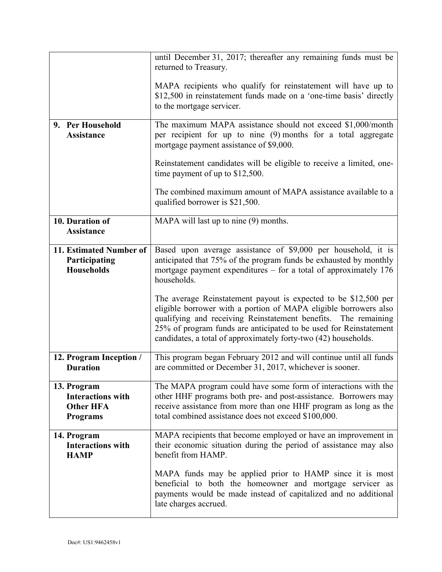|                                            | until December 31, 2017; thereafter any remaining funds must be<br>returned to Treasury.                                                              |
|--------------------------------------------|-------------------------------------------------------------------------------------------------------------------------------------------------------|
|                                            |                                                                                                                                                       |
|                                            | MAPA recipients who qualify for reinstatement will have up to<br>\$12,500 in reinstatement funds made on a 'one-time basis' directly                  |
|                                            | to the mortgage servicer.                                                                                                                             |
| 9. Per Household                           | The maximum MAPA assistance should not exceed \$1,000/month                                                                                           |
| <b>Assistance</b>                          | per recipient for up to nine (9) months for a total aggregate<br>mortgage payment assistance of \$9,000.                                              |
|                                            | Reinstatement candidates will be eligible to receive a limited, one-<br>time payment of up to $$12,500$ .                                             |
|                                            | The combined maximum amount of MAPA assistance available to a<br>qualified borrower is \$21,500.                                                      |
| 10. Duration of                            | MAPA will last up to nine (9) months.                                                                                                                 |
| <b>Assistance</b>                          |                                                                                                                                                       |
| 11. Estimated Number of                    | Based upon average assistance of \$9,000 per household, it is                                                                                         |
| Participating<br><b>Households</b>         | anticipated that 75% of the program funds be exhausted by monthly<br>mortgage payment expenditures $-$ for a total of approximately 176               |
|                                            | households.                                                                                                                                           |
|                                            | The average Reinstatement payout is expected to be \$12,500 per                                                                                       |
|                                            | eligible borrower with a portion of MAPA eligible borrowers also<br>qualifying and receiving Reinstatement benefits. The remaining                    |
|                                            | 25% of program funds are anticipated to be used for Reinstatement                                                                                     |
|                                            | candidates, a total of approximately forty-two (42) households.                                                                                       |
| 12. Program Inception /<br><b>Duration</b> | This program began February 2012 and will continue until all funds<br>are committed or December 31, 2017, whichever is sooner.                        |
|                                            |                                                                                                                                                       |
| 13. Program<br><b>Interactions with</b>    | The MAPA program could have some form of interactions with the<br>other HHF programs both pre- and post-assistance. Borrowers may                     |
| <b>Other HFA</b>                           | receive assistance from more than one HHF program as long as the                                                                                      |
| <b>Programs</b>                            | total combined assistance does not exceed \$100,000.                                                                                                  |
| 14. Program<br><b>Interactions with</b>    | MAPA recipients that become employed or have an improvement in<br>their economic situation during the period of assistance may also                   |
| <b>HAMP</b>                                | benefit from HAMP.                                                                                                                                    |
|                                            | MAPA funds may be applied prior to HAMP since it is most                                                                                              |
|                                            | beneficial to both the homeowner and mortgage servicer as<br>payments would be made instead of capitalized and no additional<br>late charges accrued. |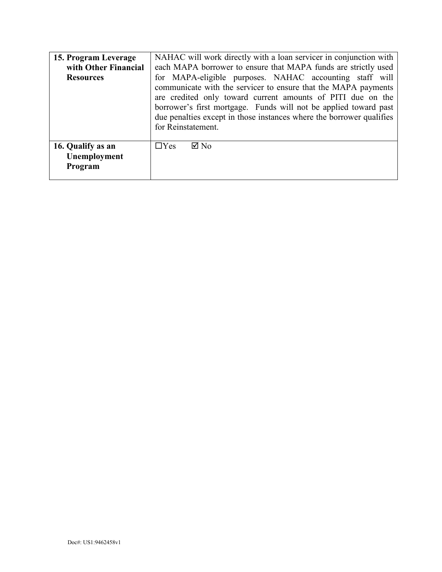| 15. Program Leverage<br>with Other Financial<br><b>Resources</b> | NAHAC will work directly with a loan servicer in conjunction with<br>each MAPA borrower to ensure that MAPA funds are strictly used<br>for MAPA-eligible purposes. NAHAC accounting staff will<br>communicate with the servicer to ensure that the MAPA payments<br>are credited only toward current amounts of PITI due on the<br>borrower's first mortgage. Funds will not be applied toward past<br>due penalties except in those instances where the borrower qualifies<br>for Reinstatement. |
|------------------------------------------------------------------|---------------------------------------------------------------------------------------------------------------------------------------------------------------------------------------------------------------------------------------------------------------------------------------------------------------------------------------------------------------------------------------------------------------------------------------------------------------------------------------------------|
| 16. Qualify as an<br>Unemployment<br>Program                     | $\boxtimes$ No<br>$\Box$ Yes                                                                                                                                                                                                                                                                                                                                                                                                                                                                      |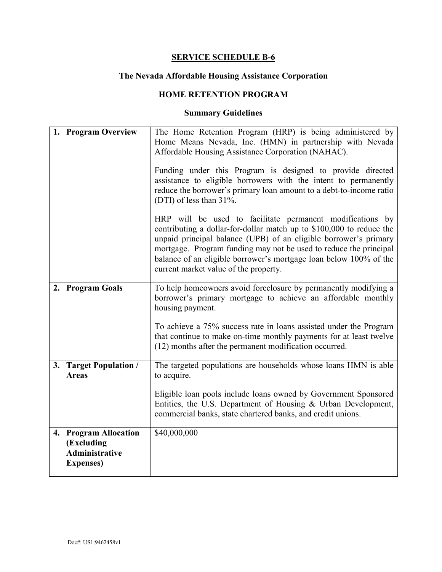# **The Nevada Affordable Housing Assistance Corporation**

#### **HOME RETENTION PROGRAM**

| 1. Program Overview                                                               | The Home Retention Program (HRP) is being administered by<br>Home Means Nevada, Inc. (HMN) in partnership with Nevada<br>Affordable Housing Assistance Corporation (NAHAC).<br>Funding under this Program is designed to provide directed<br>assistance to eligible borrowers with the intent to permanently<br>reduce the borrower's primary loan amount to a debt-to-income ratio<br>(DTI) of less than 31%. |
|-----------------------------------------------------------------------------------|----------------------------------------------------------------------------------------------------------------------------------------------------------------------------------------------------------------------------------------------------------------------------------------------------------------------------------------------------------------------------------------------------------------|
|                                                                                   | HRP will be used to facilitate permanent modifications by<br>contributing a dollar-for-dollar match up to \$100,000 to reduce the<br>unpaid principal balance (UPB) of an eligible borrower's primary<br>mortgage. Program funding may not be used to reduce the principal<br>balance of an eligible borrower's mortgage loan below 100% of the<br>current market value of the property.                       |
| 2. Program Goals                                                                  | To help homeowners avoid foreclosure by permanently modifying a<br>borrower's primary mortgage to achieve an affordable monthly<br>housing payment.<br>To achieve a 75% success rate in loans assisted under the Program<br>that continue to make on-time monthly payments for at least twelve                                                                                                                 |
|                                                                                   | (12) months after the permanent modification occurred.                                                                                                                                                                                                                                                                                                                                                         |
| 3. Target Population /<br><b>Areas</b>                                            | The targeted populations are households whose loans HMN is able<br>to acquire.                                                                                                                                                                                                                                                                                                                                 |
|                                                                                   | Eligible loan pools include loans owned by Government Sponsored<br>Entities, the U.S. Department of Housing & Urban Development,<br>commercial banks, state chartered banks, and credit unions.                                                                                                                                                                                                                |
| 4. Program Allocation<br>(Excluding<br><b>Administrative</b><br><b>Expenses</b> ) | \$40,000,000                                                                                                                                                                                                                                                                                                                                                                                                   |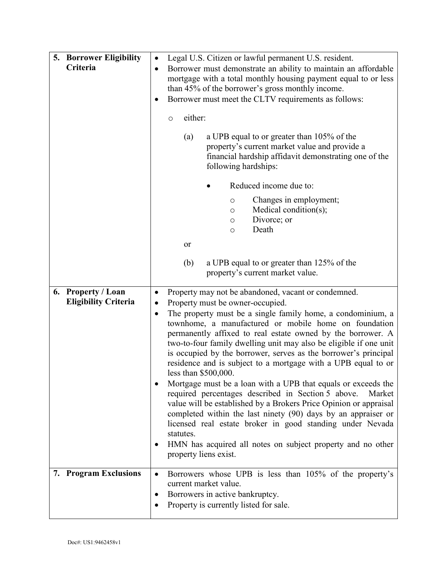| <b>5. Borrower Eligibility</b> | $\bullet$ | Legal U.S. Citizen or lawful permanent U.S. resident.                                                                                                                                                                                                                                                                                                 |
|--------------------------------|-----------|-------------------------------------------------------------------------------------------------------------------------------------------------------------------------------------------------------------------------------------------------------------------------------------------------------------------------------------------------------|
| Criteria                       |           | Borrower must demonstrate an ability to maintain an affordable                                                                                                                                                                                                                                                                                        |
|                                |           | mortgage with a total monthly housing payment equal to or less                                                                                                                                                                                                                                                                                        |
|                                |           | than 45% of the borrower's gross monthly income.                                                                                                                                                                                                                                                                                                      |
|                                |           | Borrower must meet the CLTV requirements as follows:                                                                                                                                                                                                                                                                                                  |
|                                |           |                                                                                                                                                                                                                                                                                                                                                       |
|                                |           | either:<br>$\circ$                                                                                                                                                                                                                                                                                                                                    |
|                                |           | a UPB equal to or greater than 105% of the<br>(a)<br>property's current market value and provide a<br>financial hardship affidavit demonstrating one of the<br>following hardships:                                                                                                                                                                   |
|                                |           | Reduced income due to:                                                                                                                                                                                                                                                                                                                                |
|                                |           | Changes in employment;<br>$\circlearrowright$                                                                                                                                                                                                                                                                                                         |
|                                |           | Medical condition(s);<br>$\circ$                                                                                                                                                                                                                                                                                                                      |
|                                |           | Divorce; or<br>$\circ$                                                                                                                                                                                                                                                                                                                                |
|                                |           | Death<br>$\circ$                                                                                                                                                                                                                                                                                                                                      |
|                                |           | or                                                                                                                                                                                                                                                                                                                                                    |
|                                |           | (b)<br>a UPB equal to or greater than 125% of the                                                                                                                                                                                                                                                                                                     |
|                                |           | property's current market value.                                                                                                                                                                                                                                                                                                                      |
|                                |           |                                                                                                                                                                                                                                                                                                                                                       |
| 6. Property / Loan             | $\bullet$ | Property may not be abandoned, vacant or condemned.                                                                                                                                                                                                                                                                                                   |
|                                |           |                                                                                                                                                                                                                                                                                                                                                       |
| <b>Eligibility Criteria</b>    | $\bullet$ |                                                                                                                                                                                                                                                                                                                                                       |
|                                | $\bullet$ | Property must be owner-occupied.<br>The property must be a single family home, a condominium, a                                                                                                                                                                                                                                                       |
|                                |           | townhome, a manufactured or mobile home on foundation<br>permanently affixed to real estate owned by the borrower. A<br>two-to-four family dwelling unit may also be eligible if one unit<br>is occupied by the borrower, serves as the borrower's principal<br>residence and is subject to a mortgage with a UPB equal to or<br>less than \$500,000. |
|                                |           | Mortgage must be a loan with a UPB that equals or exceeds the<br>required percentages described in Section 5 above.<br>Market<br>value will be established by a Brokers Price Opinion or appraisal<br>completed within the last ninety (90) days by an appraiser or<br>licensed real estate broker in good standing under Nevada                      |
|                                |           | statutes.<br>HMN has acquired all notes on subject property and no other<br>property liens exist.                                                                                                                                                                                                                                                     |
| 7. Program Exclusions          | $\bullet$ | Borrowers whose UPB is less than 105% of the property's                                                                                                                                                                                                                                                                                               |
|                                |           | current market value.                                                                                                                                                                                                                                                                                                                                 |
|                                |           | Borrowers in active bankruptcy.<br>Property is currently listed for sale.                                                                                                                                                                                                                                                                             |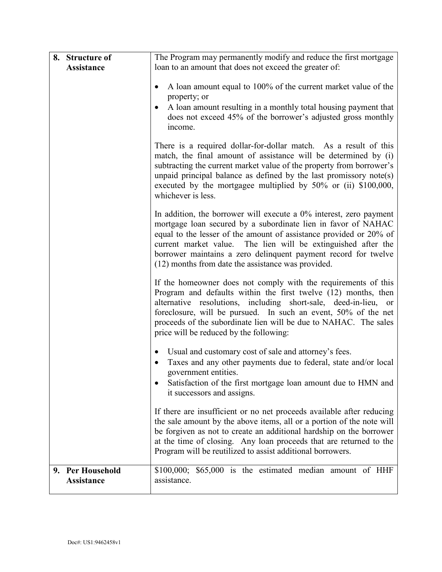| 8. Structure of                       | The Program may permanently modify and reduce the first mortgage                                                                                                                                                                                                                                                                                                                                      |
|---------------------------------------|-------------------------------------------------------------------------------------------------------------------------------------------------------------------------------------------------------------------------------------------------------------------------------------------------------------------------------------------------------------------------------------------------------|
| <b>Assistance</b>                     | loan to an amount that does not exceed the greater of:                                                                                                                                                                                                                                                                                                                                                |
|                                       | A loan amount equal to 100% of the current market value of the<br>$\bullet$<br>property; or<br>A loan amount resulting in a monthly total housing payment that<br>does not exceed 45% of the borrower's adjusted gross monthly<br>income.                                                                                                                                                             |
|                                       | There is a required dollar-for-dollar match. As a result of this<br>match, the final amount of assistance will be determined by (i)<br>subtracting the current market value of the property from borrower's<br>unpaid principal balance as defined by the last promissory note(s)<br>executed by the mortgagee multiplied by 50% or (ii) \$100,000,<br>whichever is less.                             |
|                                       | In addition, the borrower will execute a $0\%$ interest, zero payment<br>mortgage loan secured by a subordinate lien in favor of NAHAC<br>equal to the lesser of the amount of assistance provided or 20% of<br>current market value. The lien will be extinguished after the<br>borrower maintains a zero delinquent payment record for twelve<br>(12) months from date the assistance was provided. |
|                                       | If the homeowner does not comply with the requirements of this<br>Program and defaults within the first twelve (12) months, then<br>alternative resolutions, including short-sale, deed-in-lieu, or<br>foreclosure, will be pursued. In such an event, 50% of the net<br>proceeds of the subordinate lien will be due to NAHAC. The sales<br>price will be reduced by the following:                  |
|                                       | Usual and customary cost of sale and attorney's fees.<br>Taxes and any other payments due to federal, state and/or local<br>government entities.<br>Satisfaction of the first mortgage loan amount due to HMN and<br>it successors and assigns.                                                                                                                                                       |
|                                       | If there are insufficient or no net proceeds available after reducing<br>the sale amount by the above items, all or a portion of the note will<br>be forgiven as not to create an additional hardship on the borrower<br>at the time of closing. Any loan proceeds that are returned to the<br>Program will be reutilized to assist additional borrowers.                                             |
| 9. Per Household<br><b>Assistance</b> | $$100,000; $65,000$ is the estimated median amount of HHF<br>assistance.                                                                                                                                                                                                                                                                                                                              |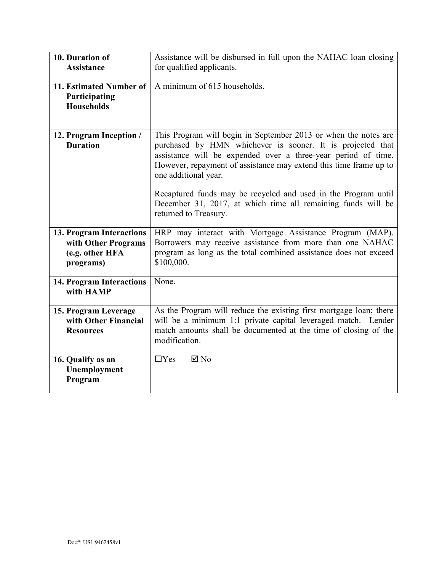| 10. Duration of<br><b>Assistance</b>                                            | Assistance will be disbursed in full upon the NAHAC loan closing<br>for qualified applicants.                                                                                                                                                                                                                                                                                                                                 |
|---------------------------------------------------------------------------------|-------------------------------------------------------------------------------------------------------------------------------------------------------------------------------------------------------------------------------------------------------------------------------------------------------------------------------------------------------------------------------------------------------------------------------|
| 11. Estimated Number of<br>Participating<br><b>Households</b>                   | A minimum of 615 households.                                                                                                                                                                                                                                                                                                                                                                                                  |
| 12. Program Inception /<br><b>Duration</b>                                      | This Program will begin in September 2013 or when the notes are<br>purchased by HMN whichever is sooner. It is projected that<br>assistance will be expended over a three-year period of time.<br>However, repayment of assistance may extend this time frame up to<br>one additional year.<br>Recaptured funds may be recycled and used in the Program until<br>December 31, 2017, at which time all remaining funds will be |
|                                                                                 | returned to Treasury.                                                                                                                                                                                                                                                                                                                                                                                                         |
| 13. Program Interactions<br>with Other Programs<br>(e.g. other HFA<br>programs) | HRP may interact with Mortgage Assistance Program (MAP).<br>Borrowers may receive assistance from more than one NAHAC<br>program as long as the total combined assistance does not exceed<br>\$100,000.                                                                                                                                                                                                                       |
| 14. Program Interactions<br>with HAMP                                           | None.                                                                                                                                                                                                                                                                                                                                                                                                                         |
| 15. Program Leverage<br>with Other Financial<br><b>Resources</b>                | As the Program will reduce the existing first mortgage loan; there<br>will be a minimum 1:1 private capital leveraged match. Lender<br>match amounts shall be documented at the time of closing of the<br>modification.                                                                                                                                                                                                       |
| 16. Qualify as an<br>Unemployment<br>Program                                    | $\Box$ Yes<br>$\boxtimes$ No                                                                                                                                                                                                                                                                                                                                                                                                  |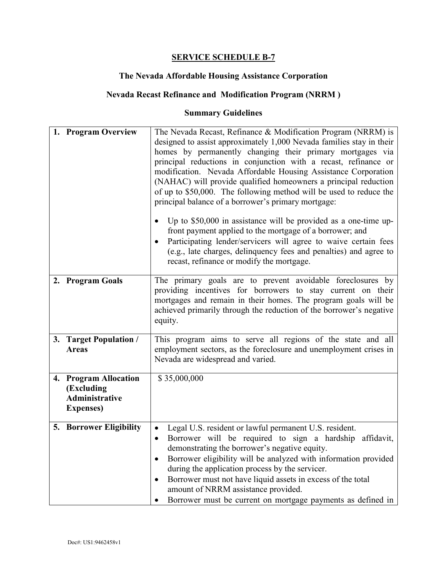#### **The Nevada Affordable Housing Assistance Corporation**

## **Nevada Recast Refinance and Modification Program (NRRM )**

| 1. Program Overview                                                        | The Nevada Recast, Refinance & Modification Program (NRRM) is<br>designed to assist approximately 1,000 Nevada families stay in their<br>homes by permanently changing their primary mortgages via<br>principal reductions in conjunction with a recast, refinance or<br>modification. Nevada Affordable Housing Assistance Corporation<br>(NAHAC) will provide qualified homeowners a principal reduction<br>of up to \$50,000. The following method will be used to reduce the<br>principal balance of a borrower's primary mortgage:<br>Up to $$50,000$ in assistance will be provided as a one-time up-<br>front payment applied to the mortgage of a borrower; and<br>Participating lender/servicers will agree to waive certain fees<br>(e.g., late charges, delinquency fees and penalties) and agree to<br>recast, refinance or modify the mortgage. |
|----------------------------------------------------------------------------|--------------------------------------------------------------------------------------------------------------------------------------------------------------------------------------------------------------------------------------------------------------------------------------------------------------------------------------------------------------------------------------------------------------------------------------------------------------------------------------------------------------------------------------------------------------------------------------------------------------------------------------------------------------------------------------------------------------------------------------------------------------------------------------------------------------------------------------------------------------|
| 2. Program Goals                                                           | The primary goals are to prevent avoidable foreclosures by<br>providing incentives for borrowers to stay current on their<br>mortgages and remain in their homes. The program goals will be<br>achieved primarily through the reduction of the borrower's negative<br>equity.                                                                                                                                                                                                                                                                                                                                                                                                                                                                                                                                                                                |
| 3. Target Population /<br><b>Areas</b>                                     | This program aims to serve all regions of the state and all<br>employment sectors, as the foreclosure and unemployment crises in<br>Nevada are widespread and varied.                                                                                                                                                                                                                                                                                                                                                                                                                                                                                                                                                                                                                                                                                        |
| 4. Program Allocation<br>(Excluding<br>Administrative<br><b>Expenses</b> ) | \$35,000,000                                                                                                                                                                                                                                                                                                                                                                                                                                                                                                                                                                                                                                                                                                                                                                                                                                                 |
| <b>5. Borrower Eligibility</b>                                             | Legal U.S. resident or lawful permanent U.S. resident.<br>Borrower will be required to sign a hardship affidavit,<br>demonstrating the borrower's negative equity.<br>Borrower eligibility will be analyzed with information provided<br>during the application process by the servicer.<br>Borrower must not have liquid assets in excess of the total<br>amount of NRRM assistance provided.<br>Borrower must be current on mortgage payments as defined in                                                                                                                                                                                                                                                                                                                                                                                                |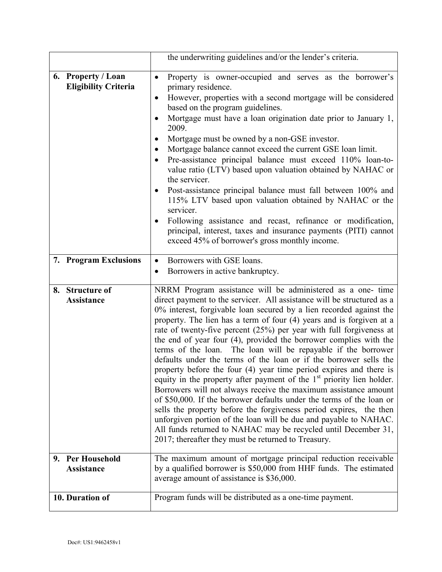|                                                   | the underwriting guidelines and/or the lender's criteria.                                                                                                                                                                                                                                                                                                                                                                                                                                                                                                                                                                                                                                                                                                                                                                                                                                                                                                                                                                                                                                                                               |
|---------------------------------------------------|-----------------------------------------------------------------------------------------------------------------------------------------------------------------------------------------------------------------------------------------------------------------------------------------------------------------------------------------------------------------------------------------------------------------------------------------------------------------------------------------------------------------------------------------------------------------------------------------------------------------------------------------------------------------------------------------------------------------------------------------------------------------------------------------------------------------------------------------------------------------------------------------------------------------------------------------------------------------------------------------------------------------------------------------------------------------------------------------------------------------------------------------|
| 6. Property / Loan<br><b>Eligibility Criteria</b> | Property is owner-occupied and serves as the borrower's<br>$\bullet$<br>primary residence.<br>However, properties with a second mortgage will be considered<br>based on the program guidelines.<br>Mortgage must have a loan origination date prior to January 1,<br>2009.<br>Mortgage must be owned by a non-GSE investor.<br>Mortgage balance cannot exceed the current GSE loan limit.<br>$\bullet$<br>Pre-assistance principal balance must exceed 110% loan-to-<br>value ratio (LTV) based upon valuation obtained by NAHAC or<br>the servicer.<br>Post-assistance principal balance must fall between 100% and<br>115% LTV based upon valuation obtained by NAHAC or the<br>servicer.<br>Following assistance and recast, refinance or modification,<br>principal, interest, taxes and insurance payments (PITI) cannot<br>exceed 45% of borrower's gross monthly income.                                                                                                                                                                                                                                                         |
| 7. Program Exclusions                             | Borrowers with GSE loans.<br>$\bullet$                                                                                                                                                                                                                                                                                                                                                                                                                                                                                                                                                                                                                                                                                                                                                                                                                                                                                                                                                                                                                                                                                                  |
|                                                   | Borrowers in active bankruptcy.                                                                                                                                                                                                                                                                                                                                                                                                                                                                                                                                                                                                                                                                                                                                                                                                                                                                                                                                                                                                                                                                                                         |
| 8. Structure of<br><b>Assistance</b>              | NRRM Program assistance will be administered as a one- time<br>direct payment to the servicer. All assistance will be structured as a<br>0% interest, forgivable loan secured by a lien recorded against the<br>property. The lien has a term of four (4) years and is forgiven at a<br>rate of twenty-five percent $(25%)$ per year with full forgiveness at<br>the end of year four (4), provided the borrower complies with the<br>terms of the loan. The loan will be repayable if the borrower<br>defaults under the terms of the loan or if the borrower sells the<br>property before the four (4) year time period expires and there is<br>equity in the property after payment of the $1st$ priority lien holder.<br>Borrowers will not always receive the maximum assistance amount<br>of \$50,000. If the borrower defaults under the terms of the loan or<br>sells the property before the forgiveness period expires, the then<br>unforgiven portion of the loan will be due and payable to NAHAC.<br>All funds returned to NAHAC may be recycled until December 31,<br>2017; thereafter they must be returned to Treasury. |
| 9. Per Household<br><b>Assistance</b>             | The maximum amount of mortgage principal reduction receivable<br>by a qualified borrower is \$50,000 from HHF funds. The estimated<br>average amount of assistance is \$36,000.                                                                                                                                                                                                                                                                                                                                                                                                                                                                                                                                                                                                                                                                                                                                                                                                                                                                                                                                                         |
|                                                   |                                                                                                                                                                                                                                                                                                                                                                                                                                                                                                                                                                                                                                                                                                                                                                                                                                                                                                                                                                                                                                                                                                                                         |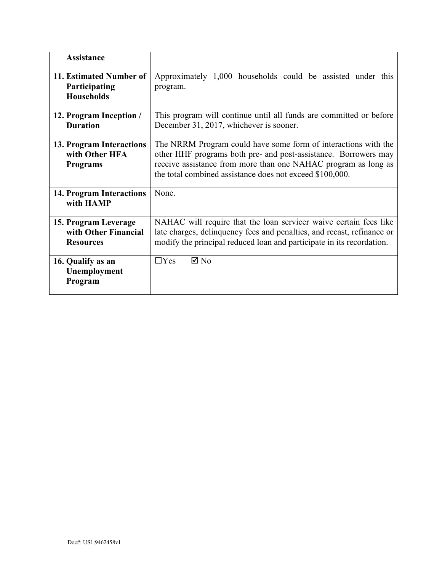| <b>Assistance</b>                                                |                                                                                                                                                                                                                                                                 |  |  |
|------------------------------------------------------------------|-----------------------------------------------------------------------------------------------------------------------------------------------------------------------------------------------------------------------------------------------------------------|--|--|
| 11. Estimated Number of<br>Participating<br><b>Households</b>    | Approximately 1,000 households could be assisted under this<br>program.                                                                                                                                                                                         |  |  |
| 12. Program Inception /<br><b>Duration</b>                       | This program will continue until all funds are committed or before<br>December 31, 2017, whichever is sooner.                                                                                                                                                   |  |  |
| 13. Program Interactions<br>with Other HFA<br><b>Programs</b>    | The NRRM Program could have some form of interactions with the<br>other HHF programs both pre- and post-assistance. Borrowers may<br>receive assistance from more than one NAHAC program as long as<br>the total combined assistance does not exceed \$100,000. |  |  |
| 14. Program Interactions<br>with HAMP                            | None.                                                                                                                                                                                                                                                           |  |  |
| 15. Program Leverage<br>with Other Financial<br><b>Resources</b> | NAHAC will require that the loan servicer waive certain fees like<br>late charges, delinquency fees and penalties, and recast, refinance or<br>modify the principal reduced loan and participate in its recordation.                                            |  |  |
| 16. Qualify as an<br>Unemployment<br>Program                     | $\boxtimes$ No<br>$\Box$ Yes                                                                                                                                                                                                                                    |  |  |